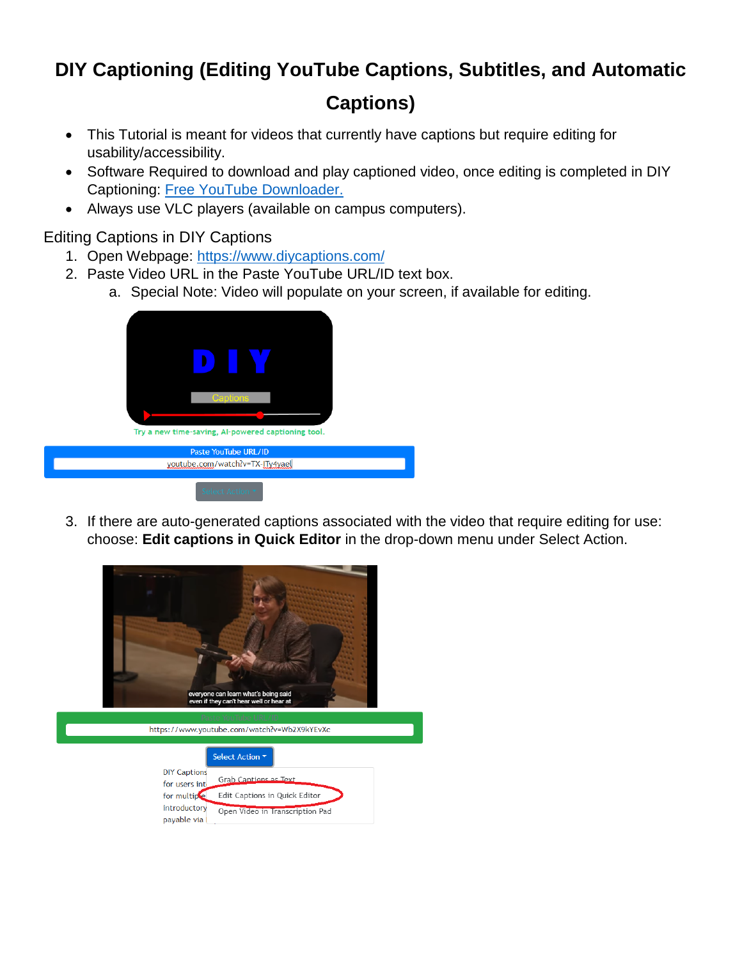## **DIY Captioning (Editing YouTube Captions, Subtitles, and Automatic**

## **Captions)**

- This Tutorial is meant for videos that currently have captions but require editing for usability/accessibility.
- Software Required to download and play captioned video, once editing is completed in DIY Captioning: [Free YouTube Downloader.](https://download.cnet.com/Free-YouTube-Downloader/3000-2071_4-75219434.html)
- Always use VLC players (available on campus computers).

Editing Captions in DIY Captions

- 1. Open Webpage:<https://www.diycaptions.com/>
- 2. Paste Video URL in the Paste YouTube URL/ID text box.
	- a. Special Note: Video will populate on your screen, if available for editing.



3. If there are auto-generated captions associated with the video that require editing for use: choose: **Edit captions in Quick Editor** in the drop-down menu under Select Action.

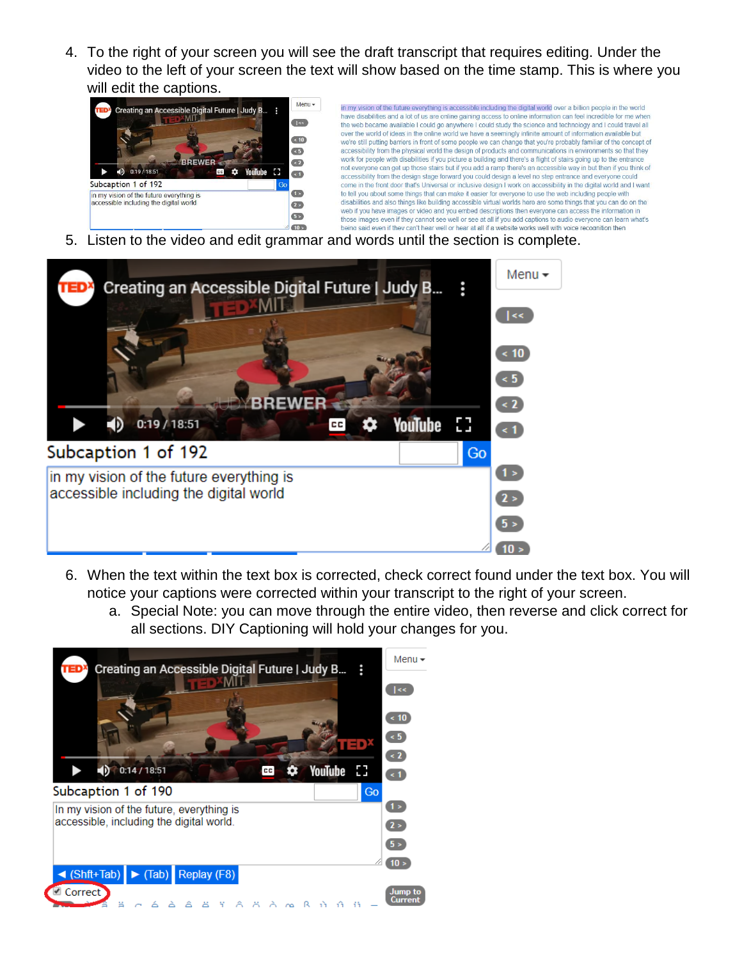4. To the right of your screen you will see the draft transcript that requires editing. Under the video to the left of your screen the text will show based on the time stamp. This is where you will edit the captions.



5. Listen to the video and edit grammar and words until the section is complete.



- 6. When the text within the text box is corrected, check correct found under the text box. You will notice your captions were corrected within your transcript to the right of your screen.
	- a. Special Note: you can move through the entire video, then reverse and click correct for all sections. DIY Captioning will hold your changes for you.

![](_page_1_Picture_6.jpeg)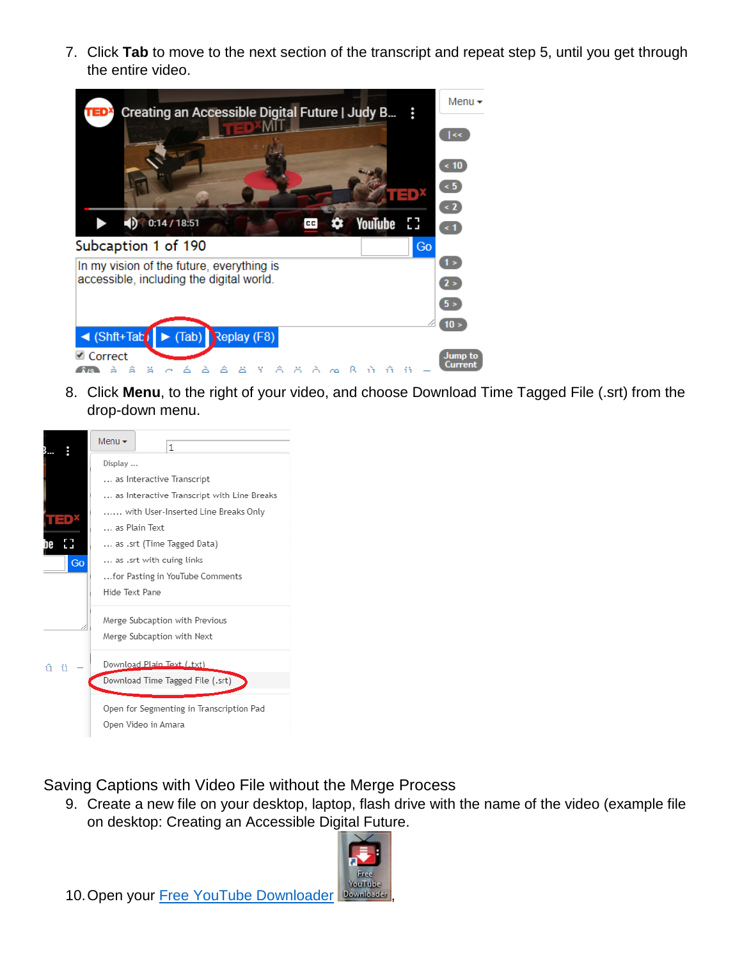7. Click **Tab** to move to the next section of the transcript and repeat step 5, until you get through the entire video.

![](_page_2_Picture_1.jpeg)

8. Click **Menu**, to the right of your video, and choose Download Time Tagged File (.srt) from the drop-down menu.

![](_page_2_Picture_3.jpeg)

Saving Captions with Video File without the Merge Process

9. Create a new file on your desktop, laptop, flash drive with the name of the video (example file on desktop: Creating an Accessible Digital Future.

![](_page_2_Picture_6.jpeg)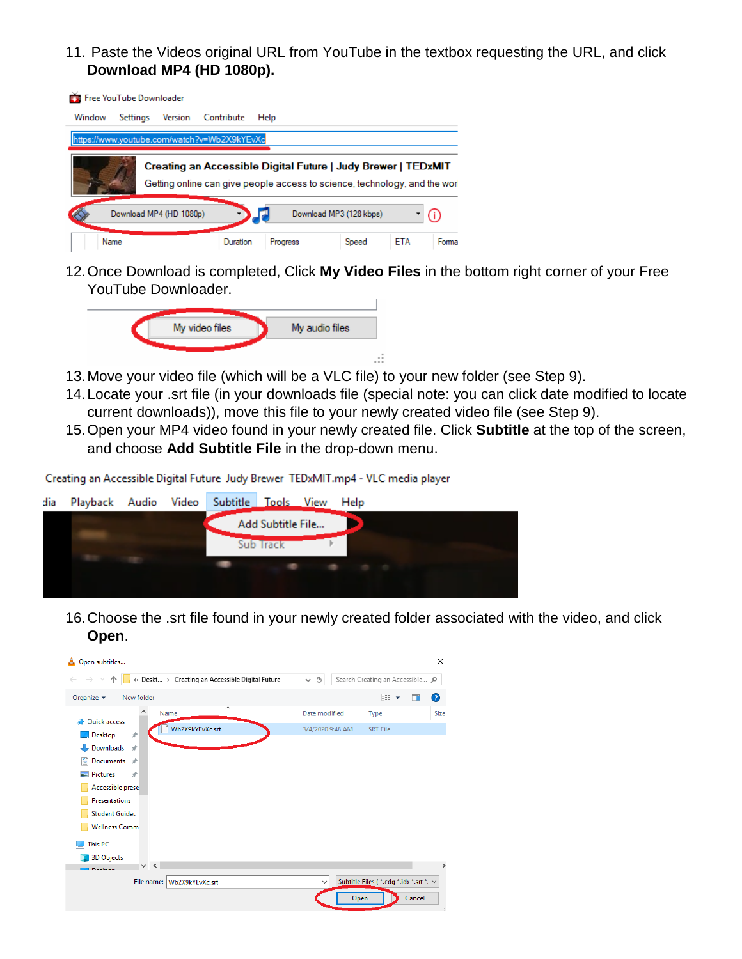11. Paste the Videos original URL from YouTube in the textbox requesting the URL, and click **Download MP4 (HD 1080p).**

![](_page_3_Picture_1.jpeg)

12.Once Download is completed, Click **My Video Files** in the bottom right corner of your Free YouTube Downloader.

![](_page_3_Picture_3.jpeg)

- 13.Move your video file (which will be a VLC file) to your new folder (see Step 9).
- 14.Locate your .srt file (in your downloads file (special note: you can click date modified to locate current downloads)), move this file to your newly created video file (see Step 9).
- 15.Open your MP4 video found in your newly created file. Click **Subtitle** at the top of the screen, and choose **Add Subtitle File** in the drop-down menu.

Creating an Accessible Digital Future Judy Brewer TEDxMIT.mp4 - VLC media player

![](_page_3_Picture_8.jpeg)

16.Choose the .srt file found in your newly created folder associated with the video, and click **Open**.

![](_page_3_Picture_10.jpeg)